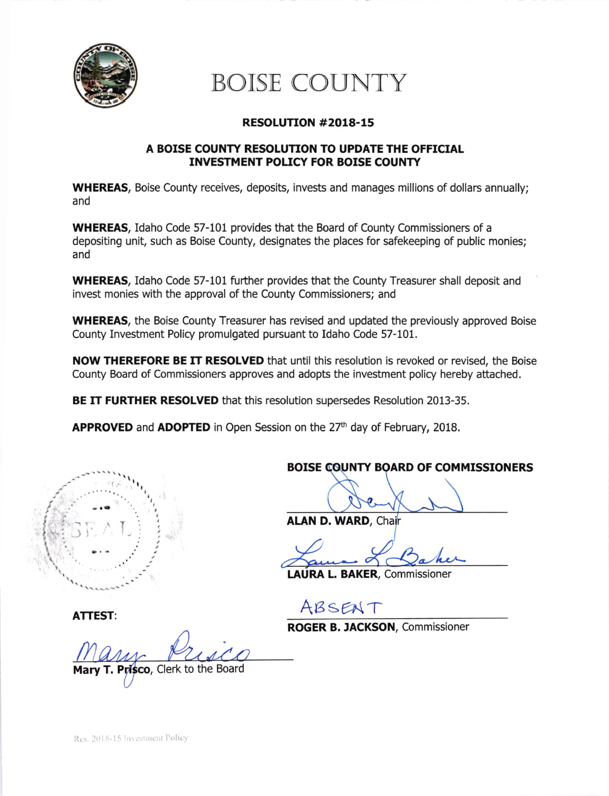

# BOISE COUNTY

### RESOLUTTON #2018-15

#### A BOISE COUNTY RESOLUTION TO UPDATE THE OFFICIAL INVESTMENT POLICY FOR BOISE COUNTY

WHEREAS, Boise County receives, deposits, invests and manages millions of dollars annually; and

WHEREAS, Idaho Code 57-101 provides that the Board of County Commissioners of a depositing unit, such as Boise County, designates the places for safekeeping of public monies; and

WHEREAS, Idaho Code 57-101 futher provides that the County Treasurer shall deposit and invest monies with the approval of the County Commissioners; and

WHEREAS, the Boise County Treasurer has revised and updated the previously approved Boise County Investment Poliry promulgated pursuant to Idaho Code 57-101.

NOW THEREFORE BE IT RESOLVED that until this resolution is revoked or revised, the Boise County Board of Commissioners approves and adopts the investment policy hereby attached.

BE IT FURTHER RESOLVED that this resolution supersedes Resolution 2013-35.

**APPROVED** and **ADOPTED** in Open Session on the  $27<sup>th</sup>$  day of February, 2018.



ATTEST:

Mary T, risco, Clerk to the Board

BOISE COUNTY BOARD OF COMMISSIONERS

ALAN D. WARD, Chair

LAURA L. BAKER, Commissioner

ABSENT

ROGER B. IACKSON, Commissioner

Res. 2018-15 Investment Policy